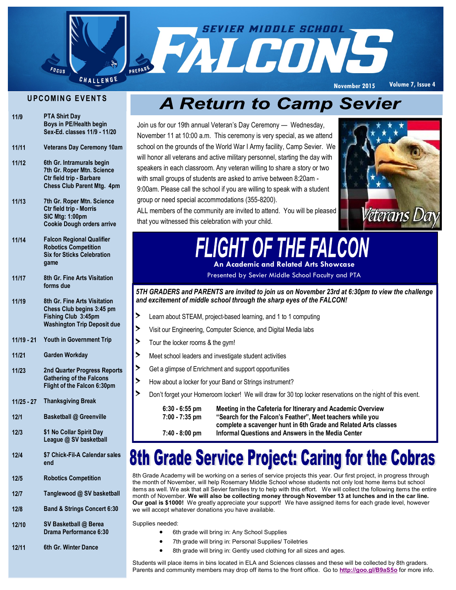

#### **UPCOMING EVENTS**

| 11/9 | <b>PTA Shirt Day</b>         |
|------|------------------------------|
|      | Boys in PE/Health begin      |
|      | Sex-Ed. classes 11/9 - 11/20 |

- **11/11 Veterans Day Ceremony 10am**
- **11/12 6th Gr. Intramurals begin 7th Gr. Roper Mtn. Science Ctr field trip - Barbare Chess Club Parent Mtg. 4pm**
- **11/13 7th Gr. Roper Mtn. Science Ctr field trip - Morris SIC Mtg: 1:00pm Cookie Dough orders arrive**
- **11/14 Falcon Regional Qualifier Robotics Competition Six for Sticks Celebration game**
- **11/17 8th Gr. Fine Arts Visitation forms due**
- **11/19 8th Gr. Fine Arts Visitation Chess Club begins 3:45 pm Fishing Club 3:45pm Washington Trip Deposit due**
- **11/19 - 21 Youth in Government Trip**
- **11/21 Garden Workday**
- **11/23 2nd Quarter Progress Reports Gathering of the Falcons Flight of the Falcon 6:30pm**
- **11/25 - 27 Thanksgiving Break**
- **12/1 Basketball @ Greenville**
- **12/3 \$1 No Collar Spirit Day League @ SV basketball**
- **12/4 \$7 Chick-Fil-A Calendar sales end**
- **12/5 Robotics Competition**
- **12/7 Tanglewood @ SV basketball**
- **12/8 Band & Strings Concert 6:30**

**12/10 SV Basketball @ Berea Drama Performance 6:30**

**12/11 6th Gr. Winter Dance** 

### **A Return to Camp Sevier**

Join us for our 19th annual Veteran's Day Ceremony — Wednesday, November 11 at 10:00 a.m. This ceremony is very special, as we attend school on the grounds of the World War I Army facility, Camp Sevier. We will honor all veterans and active military personnel, starting the day with speakers in each classroom. Any veteran willing to share a story or two with small groups of students are asked to arrive between 8:20am - 9:00am. Please call the school if you are willing to speak with a student group or need special accommodations (355-8200).



ALL members of the community are invited to attend. You will be pleased that you witnessed this celebration with your child.

### **IGHT OF THE FALCON An Academic and Related Arts Showcase**

Presented by Sevier Middle School Faculty and PTA

*5TH GRADERS and PARENTS are invited to join us on November 23rd at 6:30pm to view the challenge and excitement of middle school through the sharp eyes of the FALCON!*

- > Learn about STEAM, project-based learning, and 1 to 1 computing
- > Visit our Engineering, Computer Science, and Digital Media labs
- > Tour the locker rooms & the gym!
- > Meet school leaders and investigate student activities
- > Get a glimpse of Enrichment and support opportunities
- > How about a locker for your Band or Strings instrument?
	- > Don't forget your Homeroom locker! We will draw for 30 top locker reservations on the night of this event.

| 6:30 - 6:55 pm | Meeting in the Cafeteria for Itinerary and Academic Overview    |
|----------------|-----------------------------------------------------------------|
| 7:00 - 7:35 pm | "Search for the Falcon's Feather", Meet teachers while you      |
|                | complete a scavenger hunt in 6th Grade and Related Arts classes |
| 7:40 - 8:00 pm | Informal Questions and Answers in the Media Center              |

### 8th Grade Service Project: Caring for the Cobras

8th Grade Academy will be working on a series of service projects this year. Our first project, in progress through the month of November, will help Rosemary Middle School whose students not only lost home items but school items as well. We ask that all Sevier families try to help with this effort. We will collect the following items the entire month of November. **We will also be collecting money through November 13 at lunches and in the car line. Our goal is \$1000!** We greatly appreciate your support! We have assigned items for each grade level, however we will accept whatever donations you have available.

Supplies needed:

- 6th grade will bring in: Any School Supplies
- 7th grade will bring in: Personal Supplies/ Toiletries
- 8th grade will bring in: Gently used clothing for all sizes and ages.

Students will place items in bins located in ELA and Sciences classes and these will be collected by 8th graders. Parents and community members may drop off items to the front office. Go to **<http://goo.gl/B9aS5o>** for more info.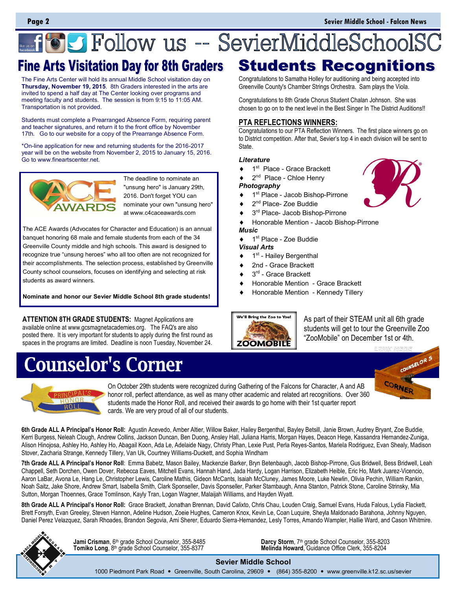# **Follow us -- SevierMiddleSchoolS(**

The Fine Arts Center will hold its annual Middle School visitation day on **Thursday, November 19, 2015**. 8th Graders interested in the arts are invited to spend a half day at The Center looking over programs and meeting faculty and students. The session is from 9:15 to 11:05 AM. Transportation is not provided.

Students must complete a Prearranged Absence Form, requiring parent and teacher signatures, and return it to the front office by November 17th. Go to our website for a copy of the Prearrange Absence Form.

\*On-line application for new and returning students for the 2016-2017 year will be on the website from November 2, 2015 to January 15, 2016. Go to www.fineartscenter.net.



The deadline to nominate an "unsung hero" is January 29th, 2016. Don't forget YOU can nominate your own "unsung hero" at www.c4caceawards.com

The ACE Awards (Advocates for Character and Education) is an annual banquet honoring 68 male and female students from each of the 34 Greenville County middle and high schools. This award is designed to recognize true "unsung heroes" who all too often are not recognized for their accomplishments. The selection process, established by Greenville County school counselors, focuses on identifying and selecting at risk students as award winners.

**Nominate and honor our Sevier Middle School 8th grade students!**

**ATTENTION 8TH GRADE STUDENTS:** Magnet Applications are available online at www.gcsmagnetacademies.org. The FAQ's are also posted there. It is very important for students to apply during the first round as spaces in the programs are limited. Deadline is noon Tuesday, November 24.

### **Counselor's Corner**

Fine Arts Visitation Day for 8th Graders Students Recognitions Congratulations to Samatha Holley for auditioning and being accepted into

Greenville County's Chamber Strings Orchestra. Sam plays the Viola.

Congratulations to 8th Grade Chorus Student Chalan Johnson. She was chosen to go on to the next level in the Best Singer In The District Auditions!!

#### **PTA REFLECTIONS WINNERS:**

Congratulations to our PTA Reflection Winners. The first place winners go on to District competition. After that, Sevier's top 4 in each division will be sent to State.

#### *Literature*

- ◆ 1<sup>st</sup> Place Grace Brackett
- ◆ 2<sup>nd</sup> Place Chloe Henry

#### *Photography*

- ◆ 1<sup>st</sup> Place Jacob Bishop-Pirrone
- ◆ 2<sup>nd</sup> Place- Zoe Buddie
- ◆ 3<sup>rd</sup> Place- Jacob Bishop-Pirrone
- Honorable Mention Jacob Bishop-Pirrone

#### *Music*

 $\triangleleft$  1<sup>st</sup> Place - Zoe Buddie

#### *Visual Arts*

- $\bullet$  1<sup>st</sup> Hailey Bergenthal
- 2nd Grace Brackett
- $\triangleleft$  3<sup>rd</sup> Grace Brackett
- Honorable Mention Grace Brackett
- Honorable Mention Kennedy Tillery



As part of their STEAM unit all 6th grade students will get to tour the Greenville Zoo "ZooMobile" on December 1st or 4th.

COUNSELOR 5

CORNER



On October 29th students were recognized during Gathering of the Falcons for Character, A and AB honor roll, perfect attendance, as well as many other academic and related art recognitions. Over 360 students made the Honor Roll, and received their awards to go home with their 1st quarter report cards. We are very proud of all of our students.

**6th Grade ALL A Principal's Honor Roll:** Agustin Acevedo, Amber Altier, Willow Baker, Hailey Bergenthal, Bayley Betsill, Janie Brown, Audrey Bryant, Zoe Buddie, Kerri Burgess, Neleah Clough, Andrew Collins, Jackson Duncan, Ben Duong, Ansley Hall, Juliana Harris, Morgan Hayes, Deacon Hege, Kassandra Hernandez-Zuniga, Alison Hinojosa, Ashley Ho, Ashley Ho, Abagail Koon, Ada Le, Adelaide Nagy, Christy Phan, Lexie Pust, Perla Reyes-Santos, Mariela Rodriguez, Evan Shealy, Madison Stover, Zacharia Strange, Kennedy Tillery, Van Uk, Courtney Williams-Duckett, and Sophia Windham

**7th Grade ALL A Principal's Honor Roll**: Emma Babetz, Mason Bailey, Mackenzie Barker, Bryn Betenbaugh, Jacob Bishop-Pirrone, Gus Bridwell, Bess Bridwell, Leah Chappell, Seth Dorchen, Owen Dover, Rebecca Eaves, Mitchell Evans, Hannah Hand, Jada Hardy, Logan Harrison, Elizabeth Heible, Eric Ho, Mark Juarez-Vicencio, Aaron LaBar, Avona Le, Hang Le, Christopher Lewis, Caroline Mathis, Gideon McCants, Isaiah McCluney, James Moore, Luke Newlin, Olivia Pechin, William Rankin, Noah Saitz, Jake Shore, Andrew Smart, Isabella Smith, Clark Sponseller, Davis Sponseller, Parker Stambaugh, Anna Stanton, Patrick Stone, Caroline Strinsky, Mia Sutton, Morgan Thoennes, Grace Tomlinson, Kayly Tran, Logan Wagner, Malaijah Williams, and Hayden Wyatt.

8th Grade ALL A Principal's Honor Roll: Grace Brackett, Jonathan Brennan, David Calixto, Chris Chau, Louden Craig, Samuel Evans, Huda Falous, Lydia Flackett, Brett Forsyth, Evan Greeley, Steven Hannon, Adeline Hudson, Zoeie Hughes, Cameron Knox, Kevin Le, Coan Luquire, Sheyla Maldonado Barahona, Johnny Nguyen, Daniel Perez Velazquez, Sarah Rhoades, Brandon Segovia, Ami Sherer, Eduardo Sierra-Hernandez, Lesly Torres, Amando Wampler, Hallie Ward, and Cason Whitmire.



**Tomiko Long**, 8th grade School Counselor, 355-8377

**Jami Crisman**, 6<sup>th</sup> grade School Counselor, 355-8485 **Darcy Storm**, 7<sup>th</sup> grade School Counselor, 355-8203<br>**Tomiko Long**, 8<sup>th</sup> grade School Counselor, 355-8377 **Nelinda Howard**, Guidance Office Clerk, 355-8204